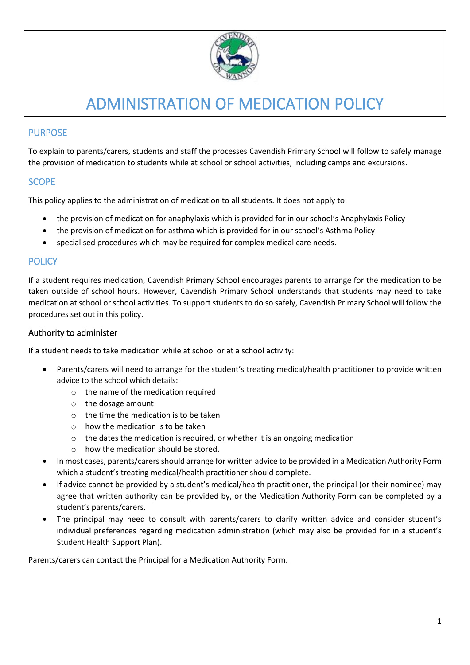

# ADMINISTRATION OF MEDICATION POLICY

#### PURPOSE

To explain to parents/carers, students and staff the processes Cavendish Primary School will follow to safely manage the provision of medication to students while at school or school activities, including camps and excursions.

#### **SCOPE**

This policy applies to the administration of medication to all students. It does not apply to:

- the provision of medication for anaphylaxis which is provided for in our school's Anaphylaxis Policy
- the provision of medication for asthma which is provided for in our school's Asthma Policy
- specialised procedures which may be required for complex medical care needs.

## **POLICY**

If a student requires medication, Cavendish Primary School encourages parents to arrange for the medication to be taken outside of school hours. However, Cavendish Primary School understands that students may need to take medication at school or school activities. To support students to do so safely, Cavendish Primary School will follow the procedures set out in this policy.

#### Authority to administer

If a student needs to take medication while at school or at a school activity:

- Parents/carers will need to arrange for the student's treating medical/health practitioner to provide written advice to the school which details:
	- o the name of the medication required
	- o the dosage amount
	- $\circ$  the time the medication is to be taken
	- $\circ$  how the medication is to be taken
	- o the dates the medication is required, or whether it is an ongoing medication
	- o how the medication should be stored.
- In most cases, parents/carers should arrange for written advice to be provided in a Medication Authority Form which a student's treating medical/health practitioner should complete.
- If advice cannot be provided by a student's medical/health practitioner, the principal (or their nominee) may agree that written authority can be provided by, or the Medication Authority Form can be completed by a student's parents/carers.
- The principal may need to consult with parents/carers to clarify written advice and consider student's individual preferences regarding medication administration (which may also be provided for in a student's Student Health Support Plan).

Parents/carers can contact the Principal for a Medication Authority Form.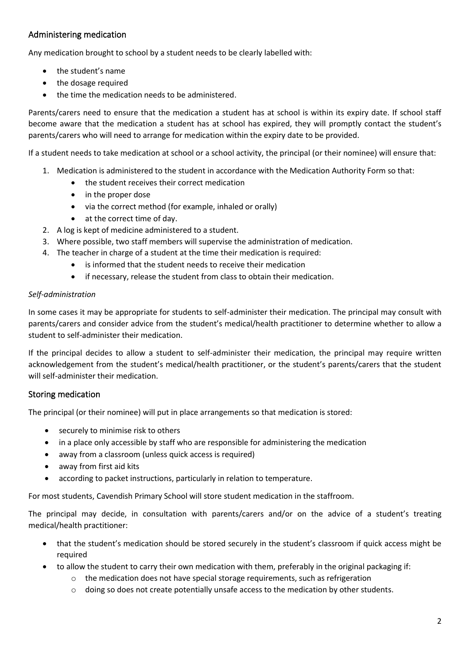## Administering medication

Any medication brought to school by a student needs to be clearly labelled with:

- the student's name
- the dosage required
- the time the medication needs to be administered.

Parents/carers need to ensure that the medication a student has at school is within its expiry date. If school staff become aware that the medication a student has at school has expired, they will promptly contact the student's parents/carers who will need to arrange for medication within the expiry date to be provided.

If a student needs to take medication at school or a school activity, the principal (or their nominee) will ensure that:

- 1. Medication is administered to the student in accordance with the Medication Authority Form so that:
	- the student receives their correct medication
	- in the proper dose
	- via the correct method (for example, inhaled or orally)
	- at the correct time of day.
- 2. A log is kept of medicine administered to a student.
- 3. Where possible, two staff members will supervise the administration of medication.
- 4. The teacher in charge of a student at the time their medication is required:
	- is informed that the student needs to receive their medication
	- if necessary, release the student from class to obtain their medication.

#### *Self-administration*

In some cases it may be appropriate for students to self-administer their medication. The principal may consult with parents/carers and consider advice from the student's medical/health practitioner to determine whether to allow a student to self-administer their medication.

If the principal decides to allow a student to self-administer their medication, the principal may require written acknowledgement from the student's medical/health practitioner, or the student's parents/carers that the student will self-administer their medication.

## Storing medication

The principal (or their nominee) will put in place arrangements so that medication is stored:

- securely to minimise risk to others
- in a place only accessible by staff who are responsible for administering the medication
- away from a classroom (unless quick access is required)
- away from first aid kits
- according to packet instructions, particularly in relation to temperature.

For most students, Cavendish Primary School will store student medication in the staffroom.

The principal may decide, in consultation with parents/carers and/or on the advice of a student's treating medical/health practitioner:

- that the student's medication should be stored securely in the student's classroom if quick access might be required
- to allow the student to carry their own medication with them, preferably in the original packaging if:
	- $\circ$  the medication does not have special storage requirements, such as refrigeration
	- $\circ$  doing so does not create potentially unsafe access to the medication by other students.